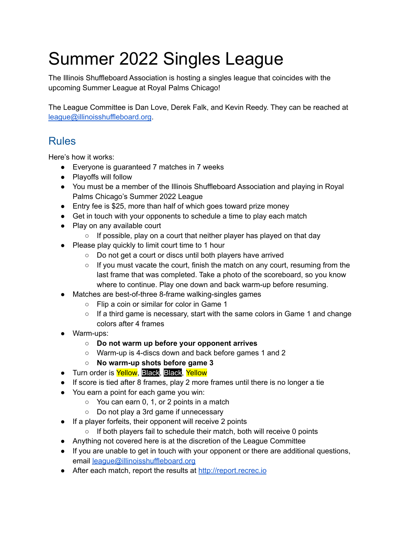## Summer 2022 Singles League

The Illinois Shuffleboard Association is hosting a singles league that coincides with the upcoming Summer League at Royal Palms Chicago!

The League Committee is Dan Love, Derek Falk, and Kevin Reedy. They can be reached at [league@illinoisshuffleboard.org](mailto:league@illinoisshuffleboard.org).

## Rules

Here's how it works:

- Everyone is guaranteed 7 matches in 7 weeks
- Playoffs will follow
- You must be a member of the Illinois Shuffleboard Association and playing in Royal Palms Chicago's Summer 2022 League
- Entry fee is \$25, more than half of which goes toward prize money
- Get in touch with your opponents to schedule a time to play each match
- Play on any available court
	- If possible, play on a court that neither player has played on that day
- Please play quickly to limit court time to 1 hour
	- Do not get a court or discs until both players have arrived
	- $\circ$  If you must vacate the court, finish the match on any court, resuming from the last frame that was completed. Take a photo of the scoreboard, so you know where to continue. Play one down and back warm-up before resuming.
- Matches are best-of-three 8-frame walking-singles games
	- Flip a coin or similar for color in Game 1
	- $\circ$  If a third game is necessary, start with the same colors in Game 1 and change colors after 4 frames
- Warm-ups:
	- **○ Do not warm up before your opponent arrives**
	- Warm-up is 4-discs down and back before games 1 and 2
	- **○ No warm-up shots before game 3**
- Turn order is Yellow, Black, Black, Yellow
- If score is tied after 8 frames, play 2 more frames until there is no longer a tie
- You earn a point for each game you win:
	- $\circ$  You can earn 0, 1, or 2 points in a match
	- Do not play a 3rd game if unnecessary
- If a player forfeits, their opponent will receive 2 points
	- If both players fail to schedule their match, both will receive 0 points
- Anything not covered here is at the discretion of the League Committee
- If you are unable to get in touch with your opponent or there are additional questions, email [league@illinoisshuffleboard.org](mailto:league@illinoisshuffleboard.org)
- After each match, report the results at <http://report.recrec.io>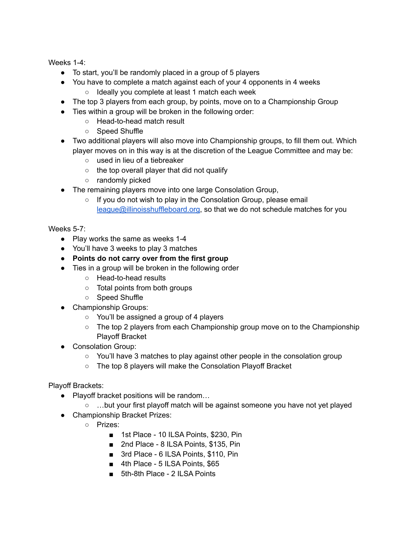Weeks 1-4:

- To start, you'll be randomly placed in a group of 5 players
- You have to complete a match against each of your 4 opponents in 4 weeks
	- Ideally you complete at least 1 match each week
- The top 3 players from each group, by points, move on to a Championship Group
- Ties within a group will be broken in the following order:
	- Head-to-head match result
	- Speed Shuffle
- Two additional players will also move into Championship groups, to fill them out. Which player moves on in this way is at the discretion of the League Committee and may be:
	- used in lieu of a tiebreaker
	- the top overall player that did not qualify
	- randomly picked
- The remaining players move into one large Consolation Group,
	- If you do not wish to play in the Consolation Group, please email [league@illinoisshuffleboard.org](mailto:league@illinoisshuffleboard.org), so that we do not schedule matches for you

Weeks 5-7:

- Play works the same as weeks 1-4
- You'll have 3 weeks to play 3 matches
- **● Points do not carry over from the first group**
- Ties in a group will be broken in the following order
	- Head-to-head results
	- Total points from both groups
	- Speed Shuffle
- Championship Groups:
	- You'll be assigned a group of 4 players
	- $\circ$  The top 2 players from each Championship group move on to the Championship Playoff Bracket
- Consolation Group:
	- $\circ$  You'll have 3 matches to play against other people in the consolation group
	- The top 8 players will make the Consolation Playoff Bracket

Playoff Brackets:

- Playoff bracket positions will be random...
	- …but your first playoff match will be against someone you have not yet played
- Championship Bracket Prizes:
	- Prizes:
		- 1st Place 10 ILSA Points, \$230, Pin
		- 2nd Place 8 ILSA Points, \$135, Pin
		- 3rd Place 6 ILSA Points, \$110, Pin
		- 4th Place 5 ILSA Points, \$65
		- 5th-8th Place 2 ILSA Points